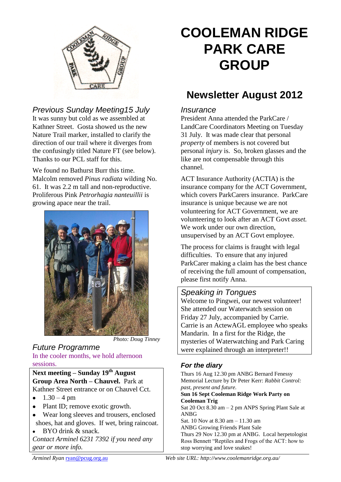

## *Previous Sunday Meeting15 July*

It was sunny but cold as we assembled at Kathner Street. Gosta showed us the new Nature Trail marker, installed to clarify the direction of our trail where it diverges from the confusingly titled Nature FT (see below). Thanks to our PCL staff for this.

We found no Bathurst Burr this time. Malcolm removed *Pinus radiata* wilding No. 61. It was 2.2 m tall and non-reproductive. Proliferous Pink *Petrorhagia nanteuillii* is growing apace near the trail.



*Photo: Doug Tinney*

## *Future Programme*

In the cooler months, we hold afternoon sessions.

#### **Next meeting – Sunday 19th August Group Area North – Chauvel.** Park at Kathner Street entrance or on Chauvel Cct.

- $1.30 4$  pm  $\bullet$
- Plant ID; remove exotic growth.
- Wear long sleeves and trousers, enclosed shoes, hat and gloves. If wet, bring raincoat.
- BYO drink & snack. *Contact Arminel 6231 7392 if you need any gear or more info.*

# **COOLEMAN RIDGE PARK CARE GROUP**

# **Newsletter August 2012**

#### *Insurance*

President Anna attended the ParkCare / LandCare Coordinators Meeting on Tuesday 31 July. It was made clear that personal *property* of members is not covered but personal *injury* is. So, broken glasses and the like are not compensable through this channel.

ACT Insurance Authority (ACTIA) is the insurance company for the ACT Government, which covers ParkCarers insurance. ParkCare insurance is unique because we are not volunteering for ACT Government, we are volunteering to look after an ACT Govt *asset.* We work under our own direction, unsupervised by an ACT Govt employee.

The process for claims is fraught with legal difficulties. To ensure that any injured ParkCarer making a claim has the best chance of receiving the full amount of compensation, please first notify Anna.

#### *Speaking in Tongues*

Welcome to Pingwei, our newest volunteer! She attended our Waterwatch session on Friday 27 July, accompanied by Carrie. Carrie is an ActewAGL employee who speaks Mandarin. In a first for the Ridge, the mysteries of Waterwatching and Park Caring were explained through an interpreter!!

#### *For the diary*

Thurs 16 Aug 12.30 pm ANBG Bernard Fenessy Memorial Lecture by Dr Peter Kerr: *Rabbit Control: past, present and future.* **Sun 16 Sept Cooleman Ridge Work Party on Cooleman Trig** Sat 20 Oct 8.30 am – 2 pm ANPS Spring Plant Sale at ANBG Sat. 10 Nov at 8.30 am – 11.30 am ANBG Growing Friends Plant Sale Thurs 29 Nov 12.30 pm at ANBG. Local herpetologist Ross Bennett "Reptiles and Frogs of the ACT: how to stop worrying and love snakes!